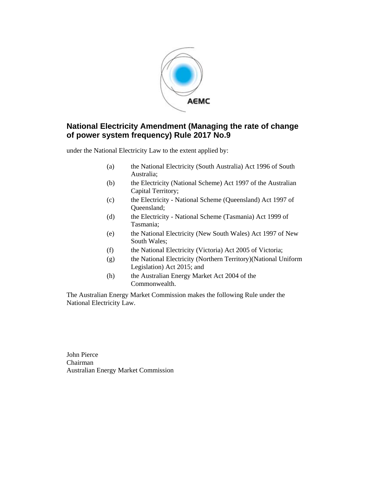

under the National Electricity Law to the extent applied by:

- (a) the National Electricity (South Australia) Act 1996 of South Australia;
- (b) the Electricity (National Scheme) Act 1997 of the Australian Capital Territory;
- (c) the Electricity National Scheme (Queensland) Act 1997 of Queensland;
- (d) the Electricity National Scheme (Tasmania) Act 1999 of Tasmania;
- (e) the National Electricity (New South Wales) Act 1997 of New South Wales;
- (f) the National Electricity (Victoria) Act 2005 of Victoria;
- (g) the National Electricity (Northern Territory)(National Uniform Legislation) Act 2015; and
- (h) the Australian Energy Market Act 2004 of the Commonwealth.

The Australian Energy Market Commission makes the following Rule under the National Electricity Law.

John Pierce Chairman Australian Energy Market Commission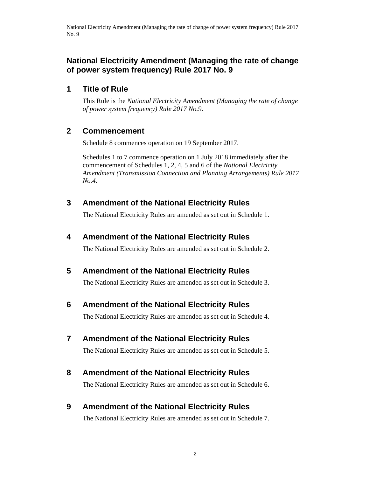# **1 Title of Rule**

This Rule is the *National Electricity Amendment (Managing the rate of change of power system frequency) Rule 2017 No.9*.

# **2 Commencement**

Schedule 8 commences operation on 19 September 2017.

Schedules 1 to 7 commence operation on 1 July 2018 immediately after the commencement of Schedules 1, 2, 4, 5 and 6 of the *National Electricity Amendment (Transmission Connection and Planning Arrangements) Rule 2017 No.4*.

# **3 Amendment of the National Electricity Rules**

The National Electricity Rules are amended as set out in Schedule 1.

# **4 Amendment of the National Electricity Rules**

The National Electricity Rules are amended as set out in Schedule 2.

# **5 Amendment of the National Electricity Rules**

The National Electricity Rules are amended as set out in Schedule 3.

# **6 Amendment of the National Electricity Rules**

The National Electricity Rules are amended as set out in Schedule 4.

# **7 Amendment of the National Electricity Rules**

The National Electricity Rules are amended as set out in Schedule 5.

# **8 Amendment of the National Electricity Rules**

The National Electricity Rules are amended as set out in Schedule 6.

# **9 Amendment of the National Electricity Rules**

The National Electricity Rules are amended as set out in Schedule 7.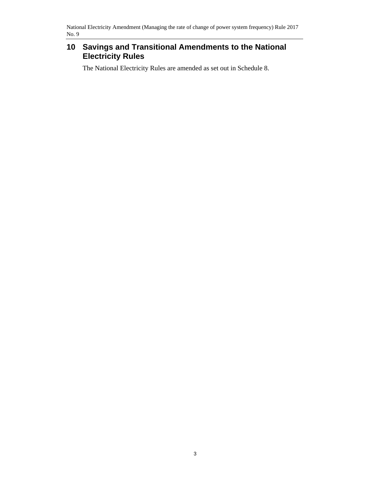# **10 Savings and Transitional Amendments to the National Electricity Rules**

The National Electricity Rules are amended as set out in Schedule 8.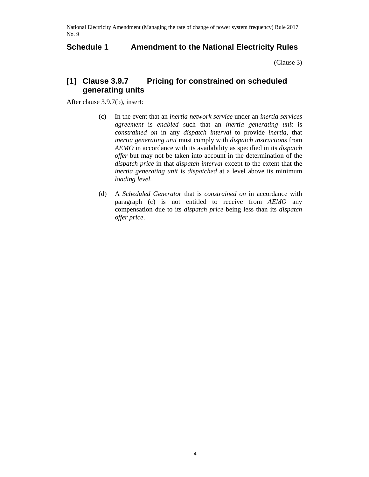### **Schedule 1 Amendment to the National Electricity Rules**

(Clause 3)

# **[1] Clause 3.9.7 Pricing for constrained on scheduled generating units**

After clause 3.9.7(b), insert:

- (c) In the event that an *inertia network service* under an *inertia services agreement* is *enabled* such that an *inertia generating unit* is *constrained on* in any *dispatch interval* to provide *inertia*, that *inertia generating unit* must comply with *dispatch instructions* from *AEMO* in accordance with its availability as specified in its *dispatch offer* but may not be taken into account in the determination of the *dispatch price* in that *dispatch interval* except to the extent that the *inertia generating unit* is *dispatched* at a level above its minimum *loading level*.
- (d) A *Scheduled Generator* that is *constrained on* in accordance with paragraph (c) is not entitled to receive from *AEMO* any compensation due to its *dispatch price* being less than its *dispatch offer price*.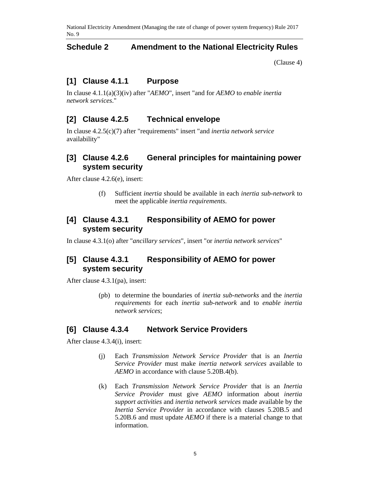### **Schedule 2 Amendment to the National Electricity Rules**

(Clause 4)

### **[1] Clause 4.1.1 Purpose**

In clause 4.1.1(a)(3)(iv) after "*AEMO*", insert "and for *AEMO* to *enable inertia network services*."

### **[2] Clause 4.2.5 Technical envelope**

In clause 4.2.5(c)(7) after "requirements" insert "and *inertia network service* availability"

### **[3] Clause 4.2.6 General principles for maintaining power system security**

After clause 4.2.6(e), insert:

(f) Sufficient *inertia* should be available in each *inertia sub-network* to meet the applicable *inertia requirements*.

### **[4] Clause 4.3.1 Responsibility of AEMO for power system security**

In clause 4.3.1(o) after "*ancillary services*", insert "or *inertia network services*"

### **[5] Clause 4.3.1 Responsibility of AEMO for power system security**

After clause 4.3.1(pa), insert:

(pb) to determine the boundaries of *inertia sub-networks* and the *inertia requirements* for each *inertia sub-network* and to *enable inertia network services*;

### **[6] Clause 4.3.4 Network Service Providers**

After clause 4.3.4(i), insert:

- (j) Each *Transmission Network Service Provider* that is an *Inertia Service Provider* must make *inertia network services* available to *AEMO* in accordance with clause 5.20B.4(b).
- (k) Each *Transmission Network Service Provider* that is an *Inertia Service Provider* must give *AEMO* information about *inertia support activities* and *inertia network services* made available by the *Inertia Service Provider* in accordance with clauses 5.20B.5 and 5.20B.6 and must update *AEMO* if there is a material change to that information.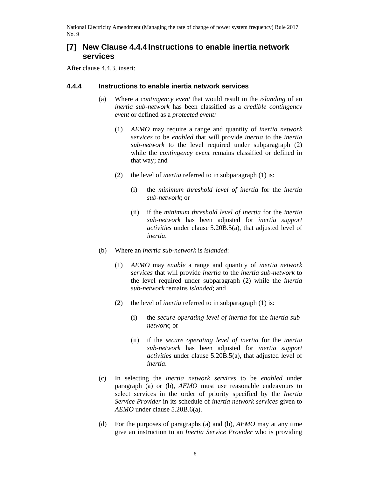### **[7] New Clause 4.4.4 Instructions to enable inertia network services**

After clause 4.4.3, insert:

#### **4.4.4 Instructions to enable inertia network services**

- (a) Where a *contingency event* that would result in the *islanding* of an *inertia sub-network* has been classified as a *credible contingency event* or defined as a *protected event:*
	- (1) *AEMO* may require a range and quantity of *inertia network services* to be *enabled* that will provide *inertia* to the *inertia sub-network* to the level required under subparagraph (2) while the *contingency event* remains classified or defined in that way; and
	- (2) the level of *inertia* referred to in subparagraph (1) is:
		- (i) the *minimum threshold level of inertia* for the *inertia sub-network*; or
		- (ii) if the *minimum threshold level of inertia* for the *inertia sub-network* has been adjusted for *inertia support activities* under clause 5.20B.5(a), that adjusted level of *inertia*.
- (b) Where an *inertia sub-network* is *islanded*:
	- (1) *AEMO* may *enable* a range and quantity of *inertia network services* that will provide *inertia* to the *inertia sub-network* to the level required under subparagraph (2) while the *inertia sub-network* remains *islanded*; and
	- (2) the level of *inertia* referred to in subparagraph (1) is:
		- (i) the *secure operating level of inertia* for the *inertia subnetwork*; or
		- (ii) if the *secure operating level of inertia* for the *inertia sub-network* has been adjusted for *inertia support activities* under clause 5.20B.5(a), that adjusted level of *inertia*.
- (c) In selecting the *inertia network services* to be *enabled* under paragraph (a) or (b), *AEMO* must use reasonable endeavours to select services in the order of priority specified by the *Inertia Service Provider* in its schedule of *inertia network services* given to *AEMO* under clause 5.20B.6(a).
- (d) For the purposes of paragraphs (a) and (b), *AEMO* may at any time give an instruction to an *Inertia Service Provider* who is providing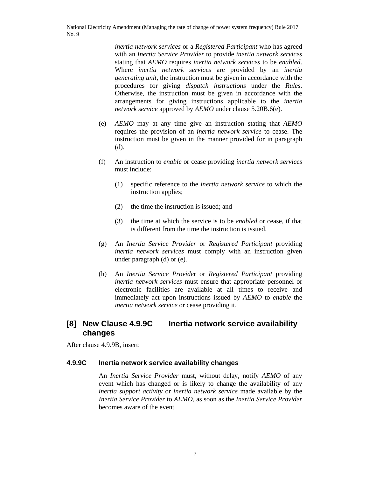*inertia network services* or a *Registered Participant* who has agreed with an *Inertia Service Provider* to provide *inertia network services* stating that *AEMO* requires *inertia network services* to be *enabled*. Where *inertia network services* are provided by an *inertia generating unit*, the instruction must be given in accordance with the procedures for giving *dispatch instructions* under the *Rules*. Otherwise, the instruction must be given in accordance with the arrangements for giving instructions applicable to the *inertia network service* approved by *AEMO* under clause 5.20B.6(e).

- (e) *AEMO* may at any time give an instruction stating that *AEMO* requires the provision of an *inertia network service* to cease. The instruction must be given in the manner provided for in paragraph (d).
- (f) An instruction to *enable* or cease providing *inertia network services* must include:
	- (1) specific reference to the *inertia network service* to which the instruction applies;
	- (2) the time the instruction is issued; and
	- (3) the time at which the service is to be *enabled* or cease, if that is different from the time the instruction is issued.
- (g) An *Inertia Service Provider* or *Registered Participant* providing *inertia network services* must comply with an instruction given under paragraph (d) or (e).
- (h) An *Inertia Service Provide*r or *Registered Participant* providing *inertia network services* must ensure that appropriate personnel or electronic facilities are available at all times to receive and immediately act upon instructions issued by *AEMO* to *enable* the *inertia network service* or cease providing it.

# **[8] New Clause 4.9.9C Inertia network service availability changes**

After clause 4.9.9B, insert:

#### **4.9.9C Inertia network service availability changes**

An *Inertia Service Provider* must, without delay, notify *AEMO* of any event which has changed or is likely to change the availability of any *inertia support activity* or *inertia network service* made available by the *Inertia Service Provider* to *AEMO*, as soon as the *Inertia Service Provider* becomes aware of the event.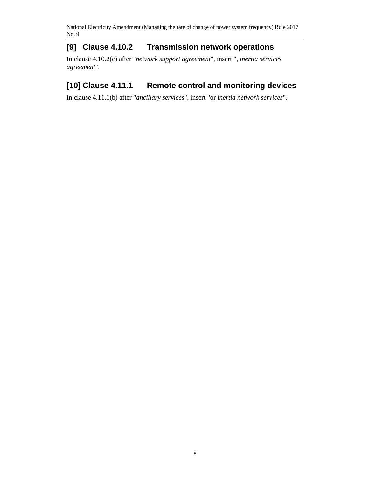# **[9] Clause 4.10.2 Transmission network operations**

In clause 4.10.2(c) after "*network support agreement*", insert ", *inertia services agreement*".

# **[10] Clause 4.11.1 Remote control and monitoring devices**

In clause 4.11.1(b) after "*ancillary services*", insert "or *inertia network services*".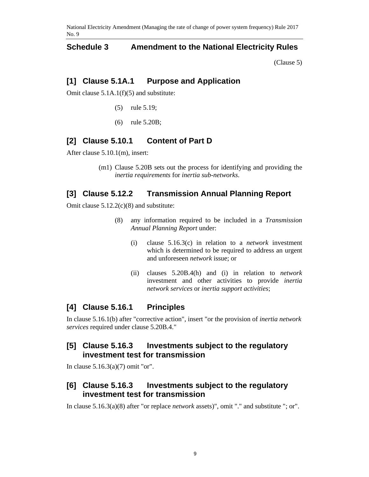### **Schedule 3 Amendment to the National Electricity Rules**

(Clause 5)

### **[1] Clause 5.1A.1 Purpose and Application**

Omit clause 5.1A.1(f)(5) and substitute:

- (5) rule 5.19;
- (6) rule 5.20B;

### **[2] Clause 5.10.1 Content of Part D**

After clause 5.10.1(m), insert:

(m1) Clause 5.20B sets out the process for identifying and providing the *inertia requirements* for *inertia sub-networks*.

### **[3] Clause 5.12.2 Transmission Annual Planning Report**

Omit clause 5.12.2(c)(8) and substitute:

- (8) any information required to be included in a *Transmission Annual Planning Report* under:
	- (i) clause 5.16.3(c) in relation to a *network* investment which is determined to be required to address an urgent and unforeseen *network* issue; or
	- (ii) clauses 5.20B.4(h) and (i) in relation to *network* investment and other activities to provide *inertia network services* or *inertia support activities*;

### **[4] Clause 5.16.1 Principles**

In clause 5.16.1(b) after "corrective action", insert "or the provision of *inertia network services* required under clause 5.20B.4."

### **[5] Clause 5.16.3 Investments subject to the regulatory investment test for transmission**

In clause 5.16.3(a)(7) omit "or".

### **[6] Clause 5.16.3 Investments subject to the regulatory investment test for transmission**

In clause 5.16.3(a)(8) after "or replace *network* assets)", omit "." and substitute "; or".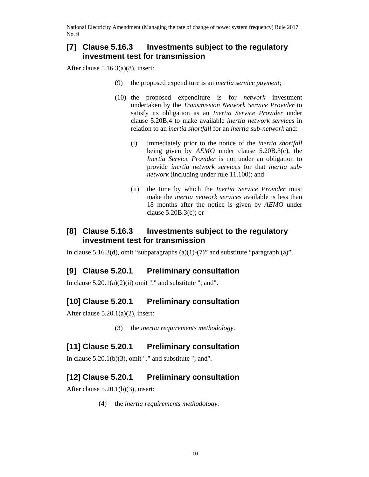### **[7] Clause 5.16.3 Investments subject to the regulatory investment test for transmission**

After clause 5.16.3(a)(8), insert:

- (9) the proposed expenditure is an *inertia service payment*;
- (10) the proposed expenditure is for *network* investment undertaken by the *Transmission Network Service Provider* to satisfy its obligation as an *Inertia Service Provider* under clause 5.20B.4 to make available *inertia network services* in relation to an *inertia shortfall* for an *inertia sub-network* and:
	- (i) immediately prior to the notice of the *inertia shortfall* being given by *AEMO* under clause 5.20B.3(c), the *Inertia Service Provider* is not under an obligation to provide *inertia network services* for that *inertia subnetwork* (including under rule 11.100); and
	- (ii) the time by which the *Inertia Service Provider* must make the *inertia network services* available is less than 18 months after the notice is given by *AEMO* under clause  $5.20B.3(c)$ ; or

### **[8] Clause 5.16.3 Investments subject to the regulatory investment test for transmission**

In clause 5.16.3(d), omit "subparagraphs (a)(1)-(7)" and substitute "paragraph (a)".

### **[9] Clause 5.20.1 Preliminary consultation**

In clause  $5.20.1(a)(2)(ii)$  omit "." and substitute "; and".

### **[10] Clause 5.20.1 Preliminary consultation**

After clause  $5.20.1(a)(2)$ , insert:

(3) the *inertia requirements methodology*.

### **[11] Clause 5.20.1 Preliminary consultation**

In clause  $5.20.1(b)(3)$ , omit "." and substitute "; and".

### **[12] Clause 5.20.1 Preliminary consultation**

After clause  $5.20.1(b)(3)$ , insert:

(4) the *inertia requirements methodology*.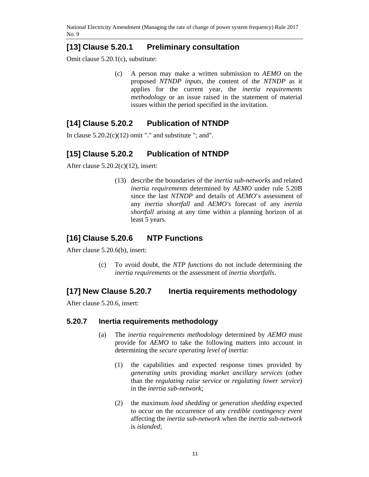# **[13] Clause 5.20.1 Preliminary consultation**

Omit clause 5.20.1(c), substitute:

(c) A person may make a written submission to *AEMO* on the proposed *NTNDP inputs*, the content of the *NTNDP* as it applies for the current year, the *inertia requirements methodology* or an issue raised in the statement of material issues within the period specified in the invitation.

# **[14] Clause 5.20.2 Publication of NTNDP**

In clause  $5.20.2(c)(12)$  omit "." and substitute "; and".

# **[15] Clause 5.20.2 Publication of NTNDP**

After clause 5.20.2(c)(12), insert:

(13) describe the boundaries of the *inertia sub-networks* and related *inertia requirements* determined by *AEMO* under rule 5.20B since the last *NTNDP* and details of *AEMO*'s assessment of any *inertia shortfall* and *AEMO's* forecast of any *inertia shortfall* arising at any time within a planning horizon of at least 5 years.

# **[16] Clause 5.20.6 NTP Functions**

After clause 5.20.6(b), insert:

(c) To avoid doubt, the *NTP functions* do not include determining the *inertia requirements* or the assessment of *inertia shortfalls*.

### **[17] New Clause 5.20.7 Inertia requirements methodology**

After clause 5.20.6, insert:

### **5.20.7 Inertia requirements methodology**

- (a) The *inertia requirements methodology* determined by *AEMO* must provide for *AEMO* to take the following matters into account in determining the *secure operating level of inertia*:
	- (1) the capabilities and expected response times provided by *generating units* providing *market ancillary services* (other than the *regulating raise service* or *regulating lower service*) in the *inertia sub-network*;
	- (2) the maximum *load shedding* or *generation shedding* expected to occur on the occurrence of any *credible contingency event* affecting the *inertia sub-network* when the *inertia sub-network* is *islanded*;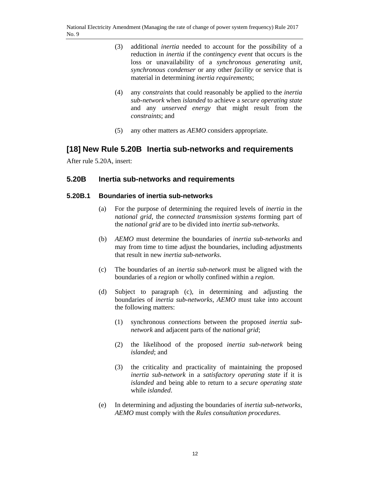- (3) additional *inertia* needed to account for the possibility of a reduction in *inertia* if the *contingency event* that occurs is the loss or unavailability of a *synchronous generating unit*, *synchronous condenser* or any other *facility* or service that is material in determining *inertia requirements*;
- (4) any *constraints* that could reasonably be applied to the *inertia sub-network* when *islanded* to achieve a *secure operating state* and any *unserved energy* that might result from the *constraints*; and
- (5) any other matters as *AEMO* considers appropriate.

# **[18] New Rule 5.20B Inertia sub-networks and requirements**

After rule 5.20A, insert:

### **5.20B Inertia sub-networks and requirements**

#### **5.20B.1 Boundaries of inertia sub-networks**

- (a) For the purpose of determining the required levels of *inertia* in the *national grid*, the *connected transmission systems* forming part of the *national grid* are to be divided into *inertia sub-networks*.
- (b) *AEMO* must determine the boundaries of *inertia sub-networks* and may from time to time adjust the boundaries, including adjustments that result in new *inertia sub-networks*.
- (c) The boundaries of an *inertia sub-network* must be aligned with the boundaries of a *region* or wholly confined within a *region*.
- (d) Subject to paragraph (c), in determining and adjusting the boundaries of *inertia sub-networks*, *AEMO* must take into account the following matters:
	- (1) synchronous *connections* between the proposed *inertia subnetwork* and adjacent parts of the *national grid*;
	- (2) the likelihood of the proposed *inertia sub-network* being *islanded*; and
	- (3) the criticality and practicality of maintaining the proposed *inertia sub-network* in a *satisfactory operating state* if it is *islanded* and being able to return to a *secure operating state* while *islanded*.
- (e) In determining and adjusting the boundaries of *inertia sub-networks*, *AEMO* must comply with the *Rules consultation procedures*.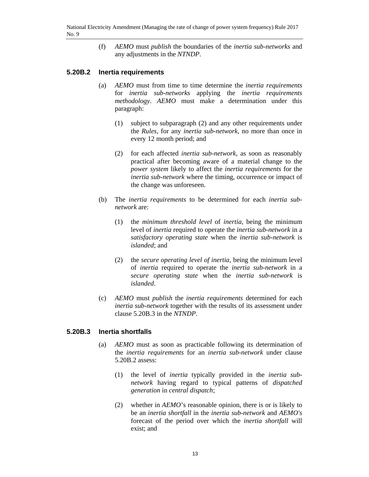(f) *AEMO* must *publish* the boundaries of the *inertia sub-networks* and any adjustments in the *NTNDP*.

#### **5.20B.2 Inertia requirements**

- (a) *AEMO* must from time to time determine the *inertia requirements* for *inertia sub-networks* applying the *inertia requirements methodology*. *AEMO* must make a determination under this paragraph:
	- (1) subject to subparagraph (2) and any other requirements under the *Rules*, for any *inertia sub-network*, no more than once in every 12 month period; and
	- (2) for each affected *inertia sub-network*, as soon as reasonably practical after becoming aware of a material change to the *power system* likely to affect the *inertia requirements* for the *inertia sub-network* where the timing, occurrence or impact of the change was unforeseen.
- (b) The *inertia requirements* to be determined for each *inertia subnetwork* are:
	- (1) the *minimum threshold level* of *inertia*, being the minimum level of *inertia* required to operate the *inertia sub-network* in a *satisfactory operating state* when the *inertia sub-network* is *islanded*; and
	- (2) the *secure operating level of inertia*, being the minimum level of *inertia* required to operate the *inertia sub-network* in a *secure operating state* when the *inertia sub-network* is *islanded*.
- (c) *AEMO* must *publish* the *inertia requirements* determined for each *inertia sub-network* together with the results of its assessment under clause 5.20B.3 in the *NTNDP*.

### **5.20B.3 Inertia shortfalls**

- (a) *AEMO* must as soon as practicable following its determination of the *inertia requirements* for an *inertia sub-network* under clause 5.20B.2 assess:
	- (1) the level of *inertia* typically provided in the *inertia subnetwork* having regard to typical patterns of *dispatched generation* in *central dispatch*;
	- (2) whether in *AEMO*'s reasonable opinion, there is or is likely to be an *inertia shortfall* in the *inertia sub-network* and *AEMO's*  forecast of the period over which the *inertia shortfall* will exist; and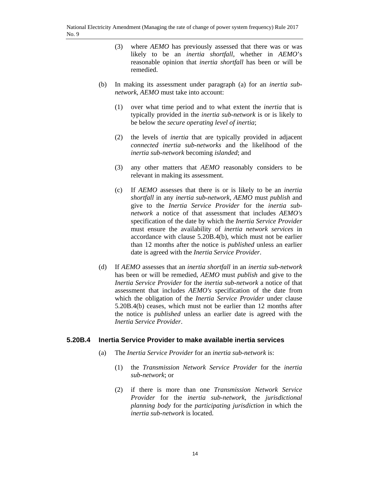- (3) where *AEMO* has previously assessed that there was or was likely to be an *inertia shortfall*, whether in *AEMO*'s reasonable opinion that *inertia shortfall* has been or will be remedied.
- (b) In making its assessment under paragraph (a) for an *inertia subnetwork*, *AEMO* must take into account:
	- (1) over what time period and to what extent the *inertia* that is typically provided in the *inertia sub-network* is or is likely to be below the *secure operating level of inertia*;
	- (2) the levels of *inertia* that are typically provided in adjacent *connected inertia sub-networks* and the likelihood of the *inertia sub-network* becoming *islanded*; and
	- (3) any other matters that *AEMO* reasonably considers to be relevant in making its assessment.
	- (c) If *AEMO* assesses that there is or is likely to be an *inertia shortfall* in any *inertia sub-network*, *AEMO* must *publish* and give to the *Inertia Service Provider* for the *inertia subnetwork* a notice of that assessment that includes *AEMO's* specification of the date by which the *Inertia Service Provider* must ensure the availability of *inertia network services* in accordance with clause 5.20B.4(b), which must not be earlier than 12 months after the notice is *published* unless an earlier date is agreed with the *Inertia Service Provider*.
- (d) If *AEMO* assesses that an *inertia shortfall* in an *inertia sub-network* has been or will be remedied, *AEMO* must *publish* and give to the *Inertia Service Provider* for the *inertia sub-network* a notice of that assessment that includes *AEMO's* specification of the date from which the obligation of the *Inertia Service Provider* under clause 5.20B.4(b) ceases, which must not be earlier than 12 months after the notice is *published* unless an earlier date is agreed with the *Inertia Service Provider*.

#### **5.20B.4 Inertia Service Provider to make available inertia services**

- (a) The *Inertia Service Provider* for an *inertia sub-network* is:
	- (1) the *Transmission Network Service Provider* for the *inertia sub-network*; or
	- (2) if there is more than one *Transmission Network Service Provider* for the *inertia sub-network*, the *jurisdictional planning body* for the *participating jurisdiction* in which the *inertia sub-network* is located.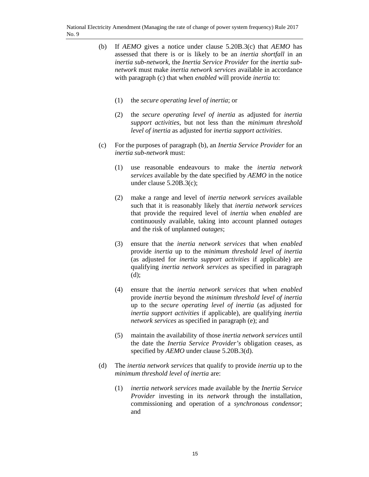- (b) If *AEMO* gives a notice under clause 5.20B.3(c) that *AEMO* has assessed that there is or is likely to be an *inertia shortfall* in an *inertia sub-network*, the *Inertia Service Provider* for the *inertia subnetwork* must make *inertia network services* available in accordance with paragraph (c) that when *enabled* will provide *inertia* to:
	- (1) the *secure operating level of inertia*; or
	- (2) the *secure operating level of inertia* as adjusted for *inertia support activities*, but not less than the *minimum threshold level of inertia* as adjusted for *inertia support activities*.
- (c) For the purposes of paragraph (b), an *Inertia Service Provider* for an *inertia sub-network* must:
	- (1) use reasonable endeavours to make the *inertia network services* available by the date specified by *AEMO* in the notice under clause 5.20B.3(c);
	- (2) make a range and level of *inertia network services* available such that it is reasonably likely that *inertia network services* that provide the required level of *inertia* when *enabled* are continuously available, taking into account planned *outages* and the risk of unplanned *outages*;
	- (3) ensure that the *inertia network services* that when *enabled* provide *inertia* up to the *minimum threshold level of inertia* (as adjusted for *inertia support activities* if applicable) are qualifying *inertia network services* as specified in paragraph (d);
	- (4) ensure that the *inertia network services* that when *enabled* provide *inertia* beyond the *minimum threshold level of inertia* up to the *secure operating level of inertia* (as adjusted for *inertia support activities* if applicable), are qualifying *inertia network services* as specified in paragraph (e); and
	- (5) maintain the availability of those *inertia network services* until the date the *Inertia Service Provider's* obligation ceases, as specified by *AEMO* under clause 5.20B.3(d).
- (d) The *inertia network services* that qualify to provide *inertia* up to the *minimum threshold level of inertia* are:
	- (1) *inertia network services* made available by the *Inertia Service Provider* investing in its *network* through the installation, commissioning and operation of a *synchronous condensor*; and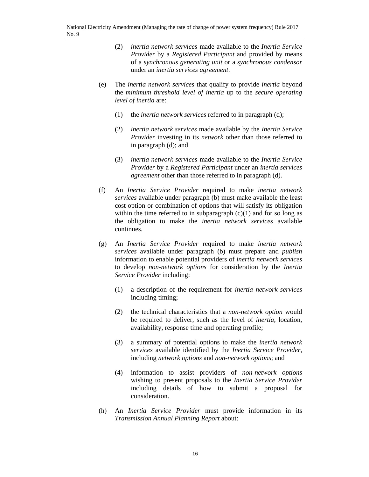- (2) *inertia network services* made available to the *Inertia Service Provider* by a *Registered Participant* and provided by means of a *synchronous generating unit* or a *synchronous condensor* under an *inertia services agreement*.
- (e) The *inertia network services* that qualify to provide *inertia* beyond the *minimum threshold level of inertia* up to the *secure operating level of inertia* are:
	- (1) the *inertia network services* referred to in paragraph (d);
	- (2) *inertia network services* made available by the *Inertia Service Provider* investing in its *network* other than those referred to in paragraph (d); and
	- (3) *inertia network services* made available to the *Inertia Service Provider* by a *Registered Participant* under an *inertia services agreement* other than those referred to in paragraph (d).
- (f) An *Inertia Service Provider* required to make *inertia network services* available under paragraph (b) must make available the least cost option or combination of options that will satisfy its obligation within the time referred to in subparagraph  $(c)(1)$  and for so long as the obligation to make the *inertia network services* available continues.
- (g) An *Inertia Service Provider* required to make *inertia network services* available under paragraph (b) must prepare and *publish* information to enable potential providers of *inertia network services* to develop *non-network options* for consideration by the *Inertia Service Provider* including:
	- (1) a description of the requirement for *inertia network services* including timing;
	- (2) the technical characteristics that a *non-network option* would be required to deliver, such as the level of *inertia*, location, availability, response time and operating profile;
	- (3) a summary of potential options to make the *inertia network services* available identified by the *Inertia Service Provider*, including *network options* and *non-network options*; and
	- (4) information to assist providers of *non-network options* wishing to present proposals to the *Inertia Service Provider* including details of how to submit a proposal for consideration.
- (h) An *Inertia Service Provider* must provide information in its *Transmission Annual Planning Report* about: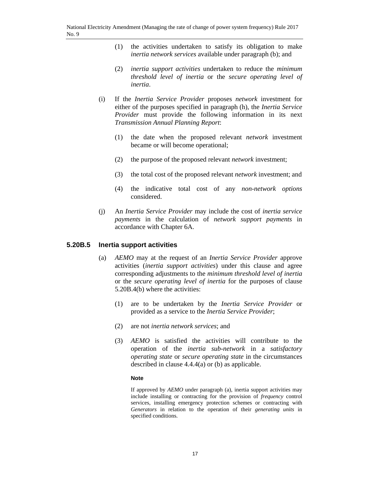- (1) the activities undertaken to satisfy its obligation to make *inertia network services* available under paragraph (b); and
- (2) *inertia support activities* undertaken to reduce the *minimum threshold level of inertia* or the *secure operating level of inertia*.
- (i) If the *Inertia Service Provider* proposes *network* investment for either of the purposes specified in paragraph (h), the *Inertia Service Provider* must provide the following information in its next *Transmission Annual Planning Report*:
	- (1) the date when the proposed relevant *network* investment became or will become operational;
	- (2) the purpose of the proposed relevant *network* investment;
	- (3) the total cost of the proposed relevant *network* investment; and
	- (4) the indicative total cost of any *non-network options* considered.
- (j) An *Inertia Service Provider* may include the cost of *inertia service payments* in the calculation of *network support payments* in accordance with Chapter 6A.

#### **5.20B.5 Inertia support activities**

- (a) *AEMO* may at the request of an *Inertia Service Provider* approve activities (*inertia support activities*) under this clause and agree corresponding adjustments to the *minimum threshold level of inertia* or the *secure operating level of inertia* for the purposes of clause 5.20B.4(b) where the activities:
	- (1) are to be undertaken by the *Inertia Service Provider* or provided as a service to the *Inertia Service Provider*;
	- (2) are not *inertia network services*; and
	- (3) *AEMO* is satisfied the activities will contribute to the operation of the *inertia sub-network* in a *satisfactory operating state* or *secure operating state* in the circumstances described in clause 4.4.4(a) or (b) as applicable.

#### **Note**

If approved by *AEMO* under paragraph (a), inertia support activities may include installing or contracting for the provision of *frequency* control services, installing emergency protection schemes or contracting with *Generators* in relation to the operation of their *generating units* in specified conditions.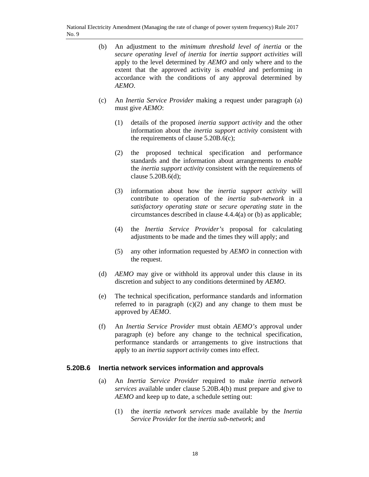- (b) An adjustment to the *minimum threshold level of inertia* or the *secure operating level of inertia* for *inertia support activities* will apply to the level determined by *AEMO* and only where and to the extent that the approved activity is *enabled* and performing in accordance with the conditions of any approval determined by *AEMO*.
- (c) An *Inertia Service Provider* making a request under paragraph (a) must give *AEMO*:
	- (1) details of the proposed *inertia support activity* and the other information about the *inertia support activity* consistent with the requirements of clause 5.20B.6(c);
	- (2) the proposed technical specification and performance standards and the information about arrangements to *enable* the *inertia support activity* consistent with the requirements of clause 5.20B.6(d);
	- (3) information about how the *inertia support activity* will contribute to operation of the *inertia sub-network* in a *satisfactory operating state* or *secure operating state* in the circumstances described in clause 4.4.4(a) or (b) as applicable;
	- (4) the *Inertia Service Provider's* proposal for calculating adjustments to be made and the times they will apply; and
	- (5) any other information requested by *AEMO* in connection with the request.
- (d) *AEMO* may give or withhold its approval under this clause in its discretion and subject to any conditions determined by *AEMO*.
- (e) The technical specification, performance standards and information referred to in paragraph  $(c)(2)$  and any change to them must be approved by *AEMO*.
- (f) An *Inertia Service Provider* must obtain *AEMO's* approval under paragraph (e) before any change to the technical specification, performance standards or arrangements to give instructions that apply to an *inertia support activity* comes into effect.

#### **5.20B.6 Inertia network services information and approvals**

- (a) An *Inertia Service Provider* required to make *inertia network services* available under clause 5.20B.4(b) must prepare and give to *AEMO* and keep up to date, a schedule setting out:
	- (1) the *inertia network services* made available by the *Inertia Service Provider* for the *inertia sub-network*; and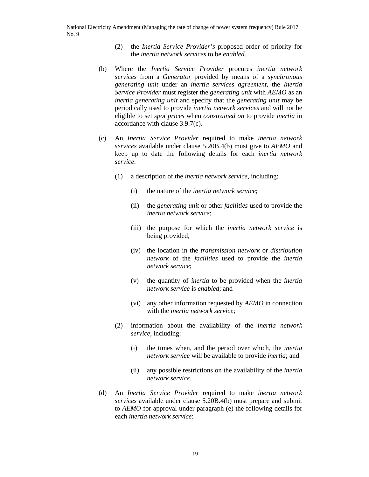- (2) the *Inertia Service Provider's* proposed order of priority for the *inertia network services* to be *enabled*.
- (b) Where the *Inertia Service Provider* procures *inertia network services* from a *Generator* provided by means of a *synchronous generating unit* under an *inertia services agreement*, the *Inertia Service Provider* must register the *generating unit* with *AEMO* as an *inertia generating unit* and specify that the *generating unit* may be periodically used to provide *inertia network services* and will not be eligible to set *spot prices* when *constrained on* to provide *inertia* in accordance with clause 3.9.7(c).
- (c) An *Inertia Service Provider* required to make *inertia network services* available under clause 5.20B.4(b) must give to *AEMO* and keep up to date the following details for each *inertia network service*:
	- (1) a description of the *inertia network service*, including:
		- (i) the nature of the *inertia network service*;
		- (ii) the *generating unit* or other *facilities* used to provide the *inertia network service*;
		- (iii) the purpose for which the *inertia network service* is being provided;
		- (iv) the location in the *transmission network* or *distribution network* of the *facilities* used to provide the *inertia network service*;
		- (v) the quantity of *inertia* to be provided when the *inertia network service* is *enabled*; and
		- (vi) any other information requested by *AEMO* in connection with the *inertia network service*;
	- (2) information about the availability of the *inertia network service*, including:
		- (i) the times when, and the period over which, the *inertia network service* will be available to provide *inertia*; and
		- (ii) any possible restrictions on the availability of the *inertia network service*.
- (d) An *Inertia Service Provider* required to make *inertia network services* available under clause 5.20B.4(b) must prepare and submit to *AEMO* for approval under paragraph (e) the following details for each *inertia network service*: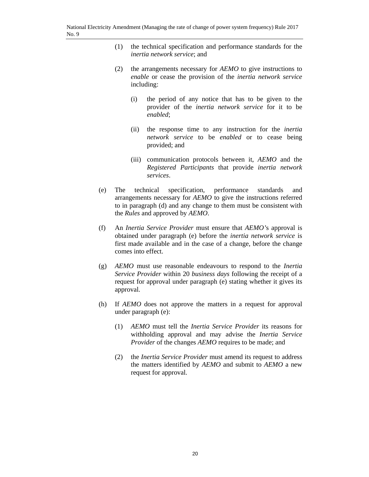- (1) the technical specification and performance standards for the *inertia network service*; and
- (2) the arrangements necessary for *AEMO* to give instructions to *enable* or cease the provision of the *inertia network service* including:
	- (i) the period of any notice that has to be given to the provider of the *inertia network service* for it to be *enabled*;
	- (ii) the response time to any instruction for the *inertia network service* to be *enabled* or to cease being provided; and
	- (iii) communication protocols between it, *AEMO* and the *Registered Participants* that provide *inertia network services*.
- (e) The technical specification, performance standards and arrangements necessary for *AEMO* to give the instructions referred to in paragraph (d) and any change to them must be consistent with the *Rules* and approved by *AEMO*.
- (f) An *Inertia Service Provider* must ensure that *AEMO'*s approval is obtained under paragraph (e) before the *inertia network service* is first made available and in the case of a change, before the change comes into effect.
- (g) *AEMO* must use reasonable endeavours to respond to the *Inertia Service Provider* within 20 *business days* following the receipt of a request for approval under paragraph (e) stating whether it gives its approval.
- (h) If *AEMO* does not approve the matters in a request for approval under paragraph (e):
	- (1) *AEMO* must tell the *Inertia Service Provider* its reasons for withholding approval and may advise the *Inertia Service Provider* of the changes *AEMO* requires to be made; and
	- (2) the *Inertia Service Provider* must amend its request to address the matters identified by *AEMO* and submit to *AEMO* a new request for approval.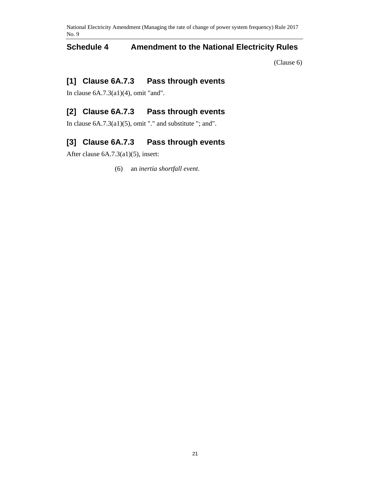# **Schedule 4 Amendment to the National Electricity Rules**

(Clause 6)

# **[1] Clause 6A.7.3 Pass through events**

In clause 6A.7.3(a1)(4), omit "and".

# **[2] Clause 6A.7.3 Pass through events**

In clause  $6A.7.3(a1)(5)$ , omit "." and substitute "; and".

# **[3] Clause 6A.7.3 Pass through events**

After clause 6A.7.3(a1)(5), insert:

(6) an *inertia shortfall event*.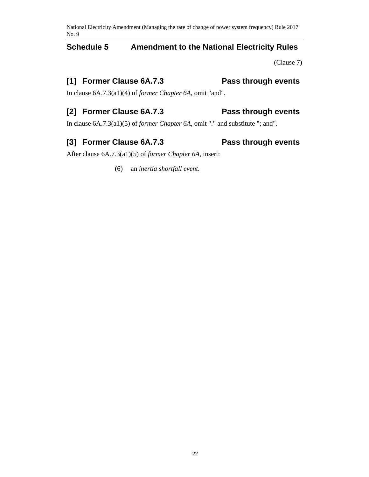# **Schedule 5 Amendment to the National Electricity Rules**

(Clause 7)

# **[1] Former Clause 6A.7.3 Pass through events**

In clause 6A.7.3(a1)(4) of *former Chapter 6A*, omit "and".

# **[2] Former Clause 6A.7.3 Pass through events**

In clause 6A.7.3(a1)(5) of *former Chapter 6A*, omit "." and substitute "; and".

# **[3] Former Clause 6A.7.3 Pass through events**

After clause 6A.7.3(a1)(5) of *former Chapter 6A*, insert:

(6) an *inertia shortfall event*.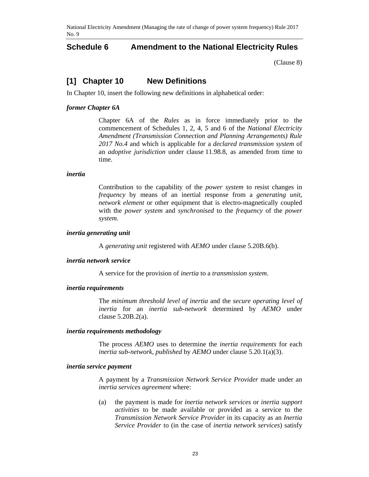### **Schedule 6 Amendment to the National Electricity Rules**

(Clause 8)

### **[1] Chapter 10 New Definitions**

In Chapter 10, insert the following new definitions in alphabetical order:

#### *former Chapter 6A*

Chapter 6A of the *Rules* as in force immediately prior to the commencement of Schedules 1, 2, 4, 5 and 6 of the *National Electricity Amendment (Transmission Connection and Planning Arrangements) Rule 2017 No.4* and which is applicable for a *declared transmission system* of an *adoptive jurisdiction* under clause 11.98.8, as amended from time to time.

#### *inertia*

Contribution to the capability of the *power system* to resist changes in *frequency* by means of an inertial response from a *generating unit*, *network element* or other equipment that is electro-magnetically coupled with the *power system* and *synchronised* to the *frequency* of the *power system*.

#### *inertia generating unit*

A *generating unit* registered with *AEMO* under clause 5.20B.6(b).

#### *inertia network service*

A service for the provision of *inertia* to a *transmission system*.

#### *inertia requirements*

The *minimum threshold level of inertia* and the *secure operating level of inertia* for an *inertia sub-network* determined by *AEMO* under clause 5.20B.2(a).

#### *inertia requirements methodology*

The process *AEMO* uses to determine the *inertia requirements* for each *inertia sub-network*, *published* by *AEMO* under clause 5.20.1(a)(3).

#### *inertia service payment*

A payment by a *Transmission Network Service Provider* made under an *inertia services agreement* where:

(a) the payment is made for *inertia network services* or *inertia support activities* to be made available or provided as a service to the *Transmission Network Service Provider* in its capacity as an *Inertia Service Provider* to (in the case of *inertia network services*) satisfy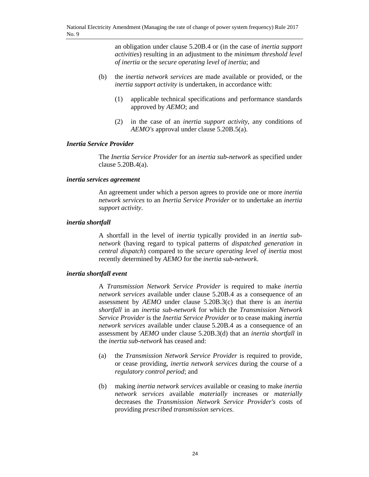an obligation under clause 5.20B.4 or (in the case of *inertia support activities*) resulting in an adjustment to the *minimum threshold level of inertia* or the *secure operating level of inertia*; and

- (b) the *inertia network services* are made available or provided, or the *inertia support activity* is undertaken, in accordance with:
	- (1) applicable technical specifications and performance standards approved by *AEMO*; and
	- (2) in the case of an *inertia support activity*, any conditions of *AEMO's* approval under clause 5.20B.5(a).

#### *Inertia Service Provider*

The *Inertia Service Provider* for an *inertia sub-network* as specified under clause 5.20B.4(a).

#### *inertia services agreement*

An agreement under which a person agrees to provide one or more *inertia network services* to an *Inertia Service Provider* or to undertake an *inertia support activity*.

#### *inertia shortfall*

A shortfall in the level of *inertia* typically provided in an *inertia subnetwork* (having regard to typical patterns of *dispatched generation* in *central dispatch*) compared to the *secure operating level of inertia* most recently determined by *AEMO* for the *inertia sub-network*.

#### *inertia shortfall event*

A *Transmission Network Service Provider* is required to make *inertia network services* available under clause 5.20B.4 as a consequence of an assessment by *AEMO* under clause 5.20B.3(c) that there is an *inertia shortfall* in an *inertia sub-network* for which the *Transmission Network Service Provider* is the *Inertia Service Provider* or to cease making *inertia network services* available under clause 5.20B.4 as a consequence of an assessment by *AEMO* under clause 5.20B.3(d) that an *inertia shortfall* in the *inertia sub-network* has ceased and:

- (a) the *Transmission Network Service Provider* is required to provide, or cease providing, *inertia network services* during the course of a *regulatory control period*; and
- (b) making *inertia network services* available or ceasing to make *inertia network services* available *materially* increases or *materially* decreases the *Transmission Network Service Provider's* costs of providing *prescribed transmission services*.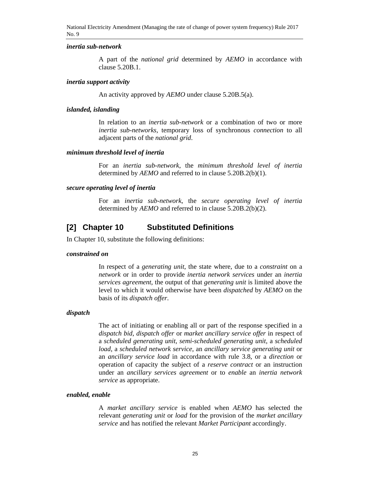#### *inertia sub-network*

A part of the *national grid* determined by *AEMO* in accordance with clause 5.20B.1.

#### *inertia support activity*

An activity approved by *AEMO* under clause 5.20B.5(a).

#### *islanded, islanding*

In relation to an *inertia sub-network* or a combination of two or more *inertia sub-networks*, temporary loss of synchronous *connection* to all adjacent parts of the *national grid*.

#### *minimum threshold level of inertia*

For an *inertia sub-network*, the *minimum threshold level of inertia* determined by *AEMO* and referred to in clause 5.20B.2(b)(1).

#### *secure operating level of inertia*

For an *inertia sub-network*, the *secure operating level of inertia* determined by *AEMO* and referred to in clause 5.20B.2(b)(2).

### **[2] Chapter 10 Substituted Definitions**

In Chapter 10, substitute the following definitions:

#### *constrained on*

In respect of a *generating unit*, the state where, due to a *constraint* on a *network* or in order to provide *inertia network services* under an *inertia services agreement*, the output of that *generating unit* is limited above the level to which it would otherwise have been *dispatched* by *AEMO* on the basis of its *dispatch offer*.

#### *dispatch*

The act of initiating or enabling all or part of the response specified in a *dispatch bid*, *dispatch offer* or *market ancillary service offer* in respect of a *scheduled generating unit*, *semi-scheduled generating unit*, a *scheduled load*, a *scheduled network service*, an *ancillary service generating unit* or an *ancillary service load* in accordance with rule 3.8, or a *direction* or operation of capacity the subject of a *reserve contract* or an instruction under an *ancillary services agreement* or to *enable* an *inertia network service* as appropriate.

#### *enabled, enable*

A *market ancillary service* is enabled when *AEMO* has selected the relevant *generating unit* or *load* for the provision of the *market ancillary service* and has notified the relevant *Market Participant* accordingly.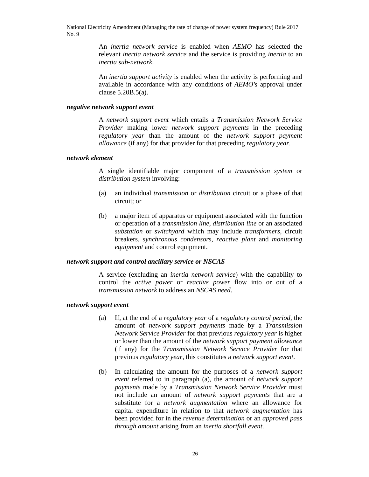An *inertia network service* is enabled when *AEMO* has selected the relevant *inertia network service* and the service is providing *inertia* to an *inertia sub-network*.

An *inertia support activity* is enabled when the activity is performing and available in accordance with any conditions of *AEMO's* approval under clause 5.20B.5(a).

#### *negative network support event*

A *network support event* which entails a *Transmission Network Service Provider* making lower *network support payments* in the preceding *regulatory year* than the amount of the *network support payment allowance* (if any) for that provider for that preceding *regulatory year*.

#### *network element*

A single identifiable major component of a *transmission system* or *distribution system* involving:

- (a) an individual *transmission* or *distribution* circuit or a phase of that circuit; or
- (b) a major item of apparatus or equipment associated with the function or operation of a *transmission line*, *distribution line* or an associated *substation* or *switchyard* which may include *transformers*, circuit breakers, *synchronous condensors*, *reactive plant* and *monitoring equipment* and control equipment.

#### *network support and control ancillary service or NSCAS*

A service (excluding an *inertia network service*) with the capability to control the *active power* or *reactive power* flow into or out of a *transmission network* to address an *NSCAS need*.

#### *network support event*

- (a) If, at the end of a *regulatory year* of a *regulatory control period*, the amount of *network support payments* made by a *Transmission Network Service Provider* for that previous *regulatory year* is higher or lower than the amount of the *network support payment allowance*  (if any) for the *Transmission Network Service Provider* for that previous *regulatory year*, this constitutes a *network support event*.
- (b) In calculating the amount for the purposes of a *network support event* referred to in paragraph (a), the amount of *network support payments* made by a *Transmission Network Service Provider* must not include an amount of *network support payments* that are a substitute for a *network augmentation* where an allowance for capital expenditure in relation to that *network augmentation* has been provided for in the *revenue determination* or an *approved pass through amount* arising from an *inertia shortfall event*.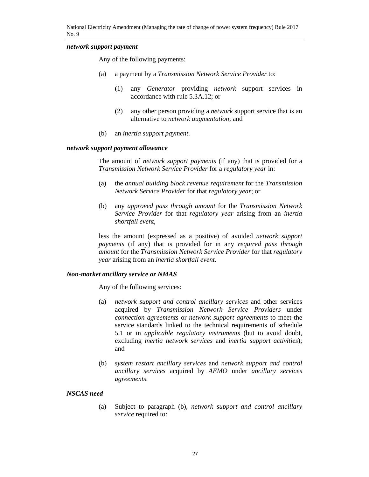#### *network support payment*

Any of the following payments:

- (a) a payment by a *Transmission Network Service Provider* to:
	- (1) any *Generator* providing *network* support services in accordance with rule 5.3A.12; or
	- (2) any other person providing a *network* support service that is an alternative to *network augmentation*; and
- (b) an *inertia support payment*.

#### *network support payment allowance*

The amount of *network support payments* (if any) that is provided for a *Transmission Network Service Provider* for a *regulatory year* in:

- (a) the *annual building block revenue requirement* for the *Transmission Network Service Provider* for that *regulatory year*; or
- (b) any *approved pass through amount* for the *Transmission Network Service Provider* for that *regulatory year* arising from an *inertia shortfall event*,

less the amount (expressed as a positive) of avoided *network support payments* (if any) that is provided for in any *required pass through amount* for the *Transmission Network Service Provider* for that *regulatory year* arising from an *inertia shortfall event*.

#### *Non-market ancillary service or NMAS*

Any of the following services:

- (a) *network support and control ancillary services* and other services acquired by *Transmission Network Service Providers* under *connection agreements* or *network support agreements* to meet the service standards linked to the technical requirements of schedule 5.1 or in *applicable regulatory instruments* (but to avoid doubt, excluding *inertia network services* and *inertia support activities*); and
- (b) *system restart ancillary services* and *network support and control ancillary services* acquired by *AEMO* under *ancillary services agreements*.

#### *NSCAS need*

(a) Subject to paragraph (b), *network support and control ancillary service* required to: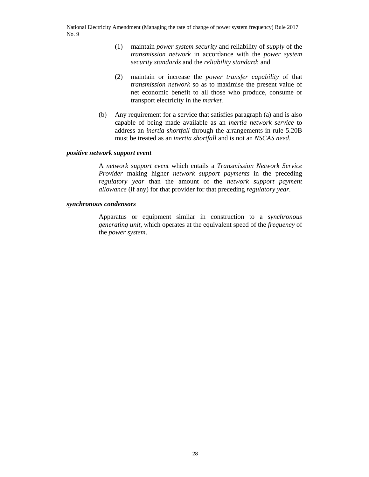- (1) maintain *power system security* and reliability of *supply* of the *transmission network* in accordance with the *power system security standards* and the *reliability standard*; and
- (2) maintain or increase the *power transfer capability* of that *transmission network* so as to maximise the present value of net economic benefit to all those who produce, consume or transport electricity in the *market.*
- (b) Any requirement for a service that satisfies paragraph (a) and is also capable of being made available as an *inertia network service* to address an *inertia shortfall* through the arrangements in rule 5.20B must be treated as an *inertia shortfall* and is not an *NSCAS need*.

#### *positive network support event*

A *network support event* which entails a *Transmission Network Service Provider* making higher *network support payments* in the preceding *regulatory year* than the amount of the *network support payment allowance* (if any) for that provider for that preceding *regulatory year*.

#### *synchronous condensors*

Apparatus or equipment similar in construction to a *synchronous generating unit*, which operates at the equivalent speed of the *frequency* of the *power system*.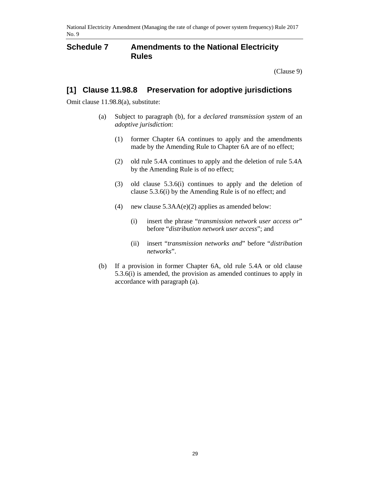### **Schedule 7 Amendments to the National Electricity Rules**

(Clause 9)

# **[1] Clause 11.98.8 Preservation for adoptive jurisdictions**

Omit clause 11.98.8(a), substitute:

- (a) Subject to paragraph (b), for a *declared transmission system* of an *adoptive jurisdiction*:
	- (1) former Chapter 6A continues to apply and the amendments made by the Amending Rule to Chapter 6A are of no effect;
	- (2) old rule 5.4A continues to apply and the deletion of rule 5.4A by the Amending Rule is of no effect;
	- (3) old clause 5.3.6(i) continues to apply and the deletion of clause 5.3.6(i) by the Amending Rule is of no effect; and
	- (4) new clause 5.3AA(e)(2) applies as amended below:
		- (i) insert the phrase "*transmission network user access or*" before "*distribution network user access*"; and
		- (ii) insert "*transmission networks and*" before "*distribution networks*".
- (b) If a provision in former Chapter 6A, old rule 5.4A or old clause 5.3.6(i) is amended, the provision as amended continues to apply in accordance with paragraph (a).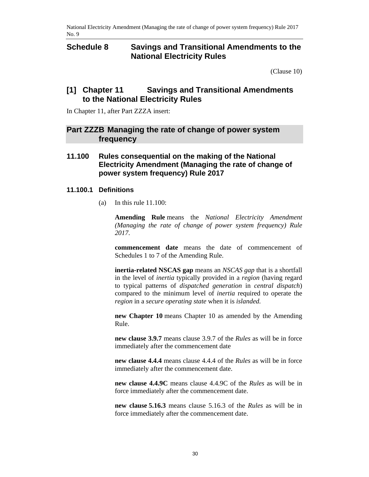### **Schedule 8 Savings and Transitional Amendments to the National Electricity Rules**

(Clause 10)

### **[1] Chapter 11 Savings and Transitional Amendments to the National Electricity Rules**

In Chapter 11, after Part ZZZA insert:

### **Part ZZZB Managing the rate of change of power system frequency**

### **11.100 Rules consequential on the making of the National Electricity Amendment (Managing the rate of change of power system frequency) Rule 2017**

### **11.100.1 Definitions**

(a) In this rule  $11.100$ :

**Amending Rule** means the *National Electricity Amendment (Managing the rate of change of power system frequency) Rule 2017*.

**commencement date** means the date of commencement of Schedules 1 to 7 of the Amending Rule.

**inertia-related NSCAS gap** means an *NSCAS gap* that is a shortfall in the level of *inertia* typically provided in a *region* (having regard to typical patterns of *dispatched generation* in *central dispatch*) compared to the minimum level of *inertia* required to operate the *region* in a *secure operating state* when it is *islanded.*

**new Chapter 10** means Chapter 10 as amended by the Amending Rule.

**new clause 3.9.7** means clause 3.9.7 of the *Rules* as will be in force immediately after the commencement date

**new clause 4.4.4** means clause 4.4.4 of the *Rules* as will be in force immediately after the commencement date.

**new clause 4.4.9C** means clause 4.4.9C of the *Rules* as will be in force immediately after the commencement date.

**new clause 5.16.3** means clause 5.16.3 of the *Rules* as will be in force immediately after the commencement date.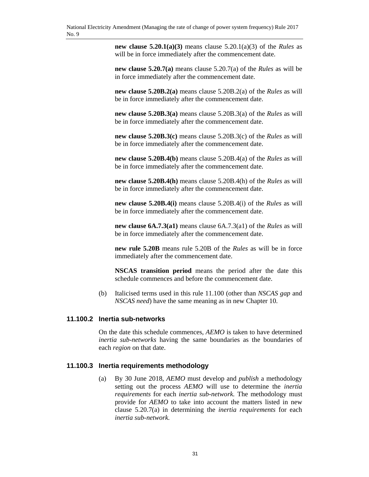**new clause 5.20.1(a)(3)** means clause 5.20.1(a)(3) of the *Rules* as will be in force immediately after the commencement date.

**new clause 5.20.7(a)** means clause 5.20.7(a) of the *Rules* as will be in force immediately after the commencement date.

**new clause 5.20B.2(a)** means clause 5.20B.2(a) of the *Rules* as will be in force immediately after the commencement date.

**new clause 5.20B.3(a)** means clause 5.20B.3(a) of the *Rules* as will be in force immediately after the commencement date.

**new clause 5.20B.3(c)** means clause 5.20B.3(c) of the *Rules* as will be in force immediately after the commencement date.

**new clause 5.20B.4(b)** means clause 5.20B.4(a) of the *Rules* as will be in force immediately after the commencement date.

**new clause 5.20B.4(h)** means clause 5.20B.4(h) of the *Rules* as will be in force immediately after the commencement date.

**new clause 5.20B.4(i)** means clause 5.20B.4(i) of the *Rules* as will be in force immediately after the commencement date.

**new clause 6A.7.3(a1)** means clause 6A.7.3(a1) of the *Rules* as will be in force immediately after the commencement date.

**new rule 5.20B** means rule 5.20B of the *Rules* as will be in force immediately after the commencement date.

**NSCAS transition period** means the period after the date this schedule commences and before the commencement date.

(b) Italicised terms used in this rule 11.100 (other than *NSCAS gap* and *NSCAS need*) have the same meaning as in new Chapter 10.

#### **11.100.2 Inertia sub-networks**

On the date this schedule commences, *AEMO* is taken to have determined *inertia sub-networks* having the same boundaries as the boundaries of each *region* on that date.

#### **11.100.3 Inertia requirements methodology**

(a) By 30 June 2018, *AEMO* must develop and *publish* a methodology setting out the process *AEMO* will use to determine the *inertia requirements* for each *inertia sub-network.* The methodology must provide for *AEMO* to take into account the matters listed in new clause 5.20.7(a) in determining the *inertia requirements* for each *inertia sub-network.*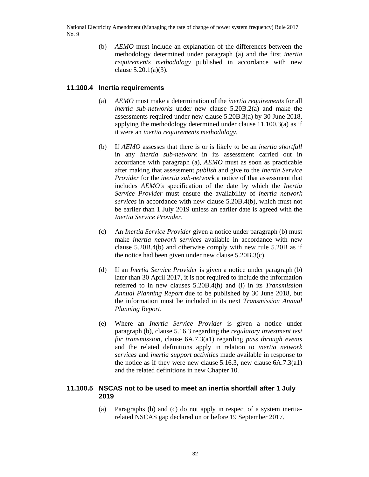(b) *AEMO* must include an explanation of the differences between the methodology determined under paragraph (a) and the first *inertia requirements methodology* published in accordance with new clause 5.20.1(a)(3).

#### **11.100.4 Inertia requirements**

- (a) *AEMO* must make a determination of the *inertia requirements* for all *inertia sub-networks* under new clause 5.20B.2(a) and make the assessments required under new clause 5.20B.3(a) by 30 June 2018, applying the methodology determined under clause 11.100.3(a) as if it were an *inertia requirements methodology*.
- (b) If *AEMO* assesses that there is or is likely to be an *inertia shortfall* in any *inertia sub-network* in its assessment carried out in accordance with paragraph (a), *AEMO* must as soon as practicable after making that assessment *publish* and give to the *Inertia Service Provider* for the *inertia sub-network* a notice of that assessment that includes *AEMO's* specification of the date by which the *Inertia Service Provider* must ensure the availability of *inertia network services* in accordance with new clause 5.20B.4(b), which must not be earlier than 1 July 2019 unless an earlier date is agreed with the *Inertia Service Provider*.
- (c) An *Inertia Service Provider* given a notice under paragraph (b) must make *inertia network services* available in accordance with new clause 5.20B.4(b) and otherwise comply with new rule 5.20B as if the notice had been given under new clause 5.20B.3(c).
- (d) If an *Inertia Service Provider* is given a notice under paragraph (b) later than 30 April 2017, it is not required to include the information referred to in new clauses 5.20B.4(h) and (i) in its *Transmission Annual Planning Report* due to be published by 30 June 2018, but the information must be included in its next *Transmission Annual Planning Report*.
- (e) Where an *Inertia Service Provider* is given a notice under paragraph (b), clause 5.16.3 regarding the *regulatory investment test for transmission*, clause 6A.7.3(a1) regarding *pass through events* and the related definitions apply in relation to *inertia network services* and *inertia support activities* made available in response to the notice as if they were new clause 5.16.3, new clause 6A.7.3(a1) and the related definitions in new Chapter 10.

#### **11.100.5 NSCAS not to be used to meet an inertia shortfall after 1 July 2019**

(a) Paragraphs (b) and (c) do not apply in respect of a system inertiarelated NSCAS gap declared on or before 19 September 2017.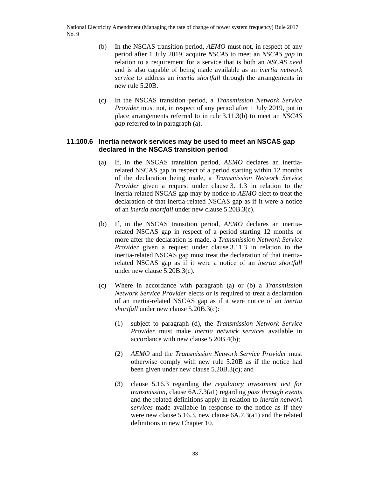- (b) In the NSCAS transition period, *AEMO* must not, in respect of any period after 1 July 2019, acquire *NSCAS* to meet an *NSCAS gap* in relation to a requirement for a service that is both an *NSCAS need* and is also capable of being made available as an *inertia network service* to address an *inertia shortfall* through the arrangements in new rule 5.20B.
- (c) In the NSCAS transition period, a *Transmission Network Service Provider* must not, in respect of any period after 1 July 2019, put in place arrangements referred to in rule 3.11.3(b) to meet an *NSCAS gap* referred to in paragraph (a).

#### **11.100.6 Inertia network services may be used to meet an NSCAS gap declared in the NSCAS transition period**

- (a) If, in the NSCAS transition period, *AEMO* declares an inertiarelated NSCAS gap in respect of a period starting within 12 months of the declaration being made, a *Transmission Network Service Provider* given a request under clause 3.11.3 in relation to the inertia-related NSCAS gap may by notice to *AEMO* elect to treat the declaration of that inertia-related NSCAS gap as if it were a notice of an *inertia shortfall* under new clause 5.20B.3(c).
- (b) If, in the NSCAS transition period, *AEMO* declares an inertiarelated NSCAS gap in respect of a period starting 12 months or more after the declaration is made, a *Transmission Network Service Provider* given a request under clause 3.11.3 in relation to the inertia-related NSCAS gap must treat the declaration of that inertiarelated NSCAS gap as if it were a notice of an *inertia shortfall* under new clause 5.20B.3(c).
- (c) Where in accordance with paragraph (a) or (b) a *Transmission Network Service Provider* elects or is required to treat a declaration of an inertia-related NSCAS gap as if it were notice of an *inertia shortfall* under new clause 5.20B.3(c):
	- (1) subject to paragraph (d), the *Transmission Network Service Provider* must make *inertia network services* available in accordance with new clause 5.20B.4(b);
	- (2) *AEMO* and the *Transmission Network Service Provider* must otherwise comply with new rule 5.20B as if the notice had been given under new clause 5.20B.3(c); and
	- (3) clause 5.16.3 regarding the *regulatory investment test for transmission*, clause 6A.7.3(a1) regarding *pass through events* and the related definitions apply in relation to *inertia network services* made available in response to the notice as if they were new clause 5.16.3, new clause 6A.7.3(a1) and the related definitions in new Chapter 10.